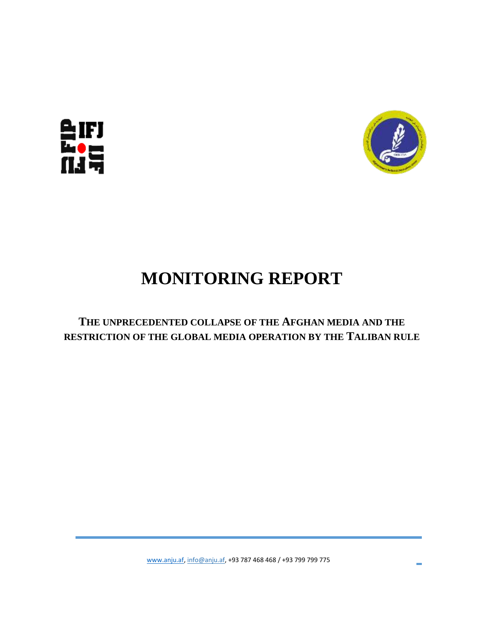



## **MONITORING REPORT**

**THE UNPRECEDENTED COLLAPSE OF THE AFGHAN MEDIA AND THE RESTRICTION OF THE GLOBAL MEDIA OPERATION BY THE TALIBAN RULE**

[www.anju.af,](http://www.anju.af/) [info@anju.af,](mailto:info@anju.af) +93 787 468 468 / +93 799 799 775

**College**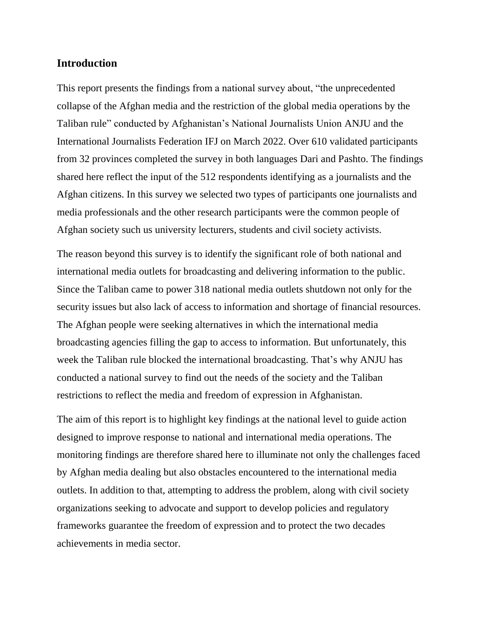## **Introduction**

This report presents the findings from a national survey about, "the unprecedented collapse of the Afghan media and the restriction of the global media operations by the Taliban rule" conducted by Afghanistan's National Journalists Union ANJU and the International Journalists Federation IFJ on March 2022. Over 610 validated participants from 32 provinces completed the survey in both languages Dari and Pashto. The findings shared here reflect the input of the 512 respondents identifying as a journalists and the Afghan citizens. In this survey we selected two types of participants one journalists and media professionals and the other research participants were the common people of Afghan society such us university lecturers, students and civil society activists.

The reason beyond this survey is to identify the significant role of both national and international media outlets for broadcasting and delivering information to the public. Since the Taliban came to power 318 national media outlets shutdown not only for the security issues but also lack of access to information and shortage of financial resources. The Afghan people were seeking alternatives in which the international media broadcasting agencies filling the gap to access to information. But unfortunately, this week the Taliban rule blocked the international broadcasting. That's why ANJU has conducted a national survey to find out the needs of the society and the Taliban restrictions to reflect the media and freedom of expression in Afghanistan.

The aim of this report is to highlight key findings at the national level to guide action designed to improve response to national and international media operations. The monitoring findings are therefore shared here to illuminate not only the challenges faced by Afghan media dealing but also obstacles encountered to the international media outlets. In addition to that, attempting to address the problem, along with civil society organizations seeking to advocate and support to develop policies and regulatory frameworks guarantee the freedom of expression and to protect the two decades achievements in media sector.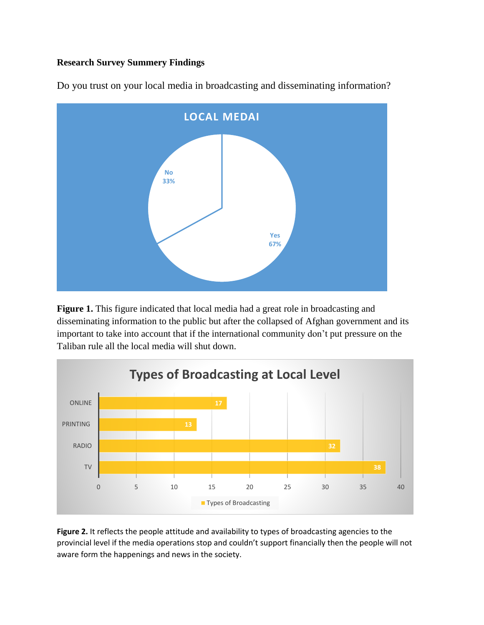## **Research Survey Summery Findings**



Do you trust on your local media in broadcasting and disseminating information?

**Figure 1.** This figure indicated that local media had a great role in broadcasting and disseminating information to the public but after the collapsed of Afghan government and its important to take into account that if the international community don't put pressure on the Taliban rule all the local media will shut down.



Figure 2. It reflects the people attitude and availability to types of broadcasting agencies to the provincial level if the media operations stop and couldn't support financially then the people will not aware form the happenings and news in the society.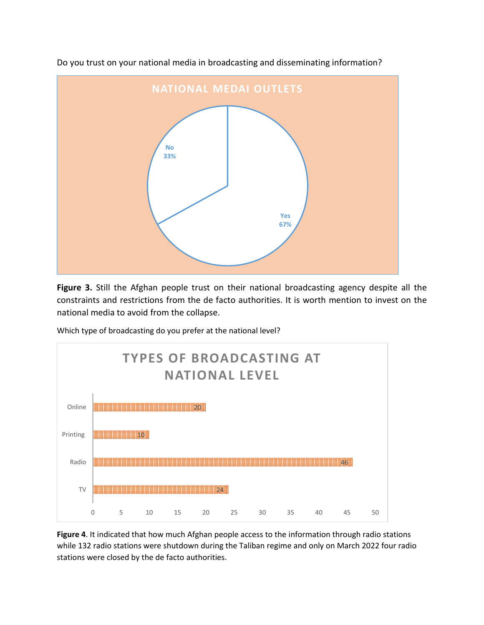

Do you trust on your national media in broadcasting and disseminating information?

**Figure 3.** Still the Afghan people trust on their national broadcasting agency despite all the constraints and restrictions from the de facto authorities. It is worth mention to invest on the national media to avoid from the collapse.

Which type of broadcasting do you prefer at the national level?



**Figure 4**. It indicated that how much Afghan people access to the information through radio stations while 132 radio stations were shutdown during the Taliban regime and only on March 2022 four radio stations were closed by the de facto authorities.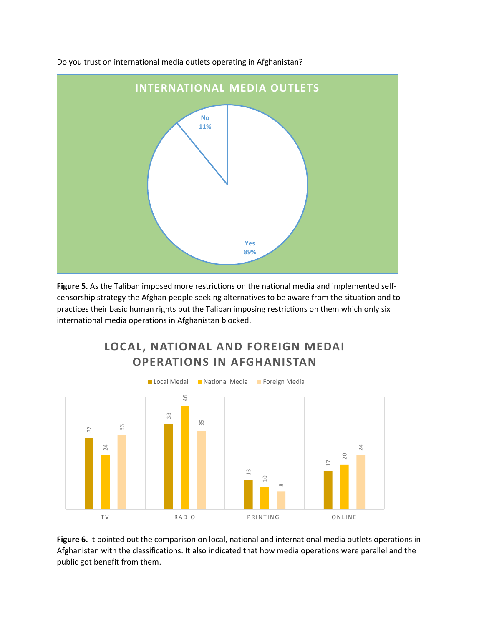

Do you trust on international media outlets operating in Afghanistan?

**Figure 5.** As the Taliban imposed more restrictions on the national media and implemented selfcensorship strategy the Afghan people seeking alternatives to be aware from the situation and to practices their basic human rights but the Taliban imposing restrictions on them which only six international media operations in Afghanistan blocked.



**Figure 6.** It pointed out the comparison on local, national and international media outlets operations in Afghanistan with the classifications. It also indicated that how media operations were parallel and the public got benefit from them.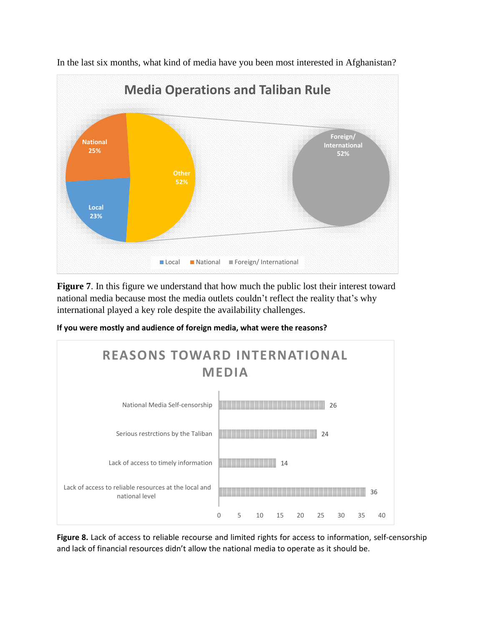

In the last six months, what kind of media have you been most interested in Afghanistan?

**Figure 7**. In this figure we understand that how much the public lost their interest toward national media because most the media outlets couldn't reflect the reality that's why international played a key role despite the availability challenges.

**If you were mostly and audience of foreign media, what were the reasons?**



**Figure 8.** Lack of access to reliable recourse and limited rights for access to information, self-censorship and lack of financial resources didn't allow the national media to operate as it should be.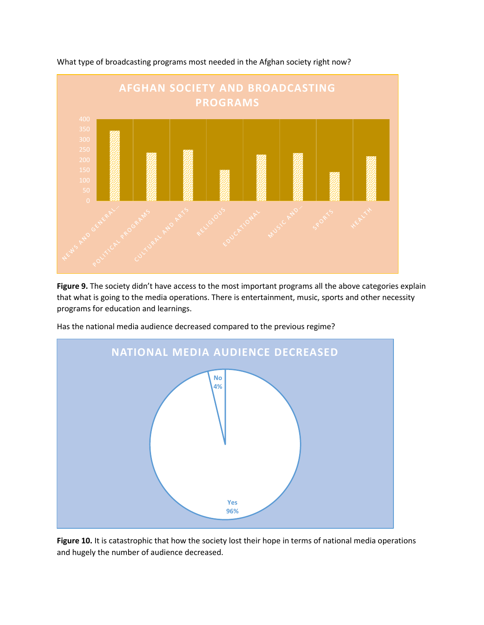

What type of broadcasting programs most needed in the Afghan society right now?

Figure 9. The society didn't have access to the most important programs all the above categories explain that what is going to the media operations. There is entertainment, music, sports and other necessity programs for education and learnings.

Has the national media audience decreased compared to the previous regime?



**Figure 10.** It is catastrophic that how the society lost their hope in terms of national media operations and hugely the number of audience decreased.